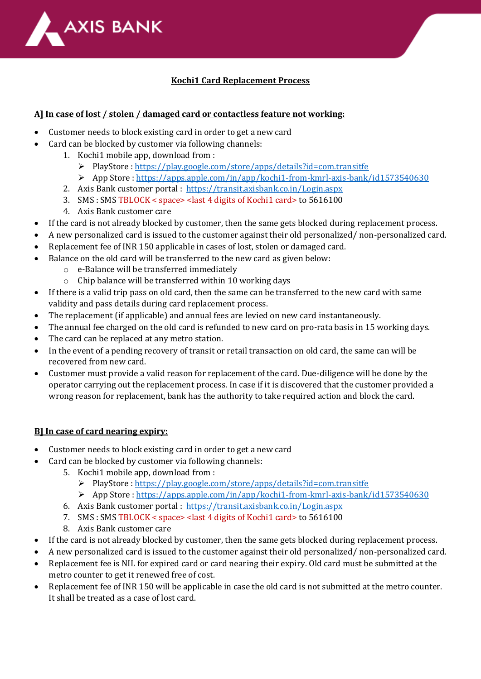

## **Kochi1 Card Replacement Process**

## **A] In case of lost / stolen / damaged card or contactless feature not working:**

- Customer needs to block existing card in order to get a new card
- Card can be blocked by customer via following channels:
	- 1. Kochi1 mobile app, download from :
		- PlayStore :<https://play.google.com/store/apps/details?id=com.transitfe>
		- App Store [: https://apps.apple.com/in/app/kochi1-from-kmrl-axis-bank/id1573540630](https://apps.apple.com/in/app/kochi1-from-kmrl-axis-bank/id1573540630)
	- 2. Axis Bank customer portal : <https://transit.axisbank.co.in/Login.aspx>
	- 3. SMS : SMS TBLOCK < space> <last 4 digits of Kochi1 card> to 5616100
	- 4. Axis Bank customer care
- If the card is not already blocked by customer, then the same gets blocked during replacement process.
- A new personalized card is issued to the customer against their old personalized/ non-personalized card.
- Replacement fee of INR 150 applicable in cases of lost, stolen or damaged card.
- Balance on the old card will be transferred to the new card as given below:
	- o e-Balance will be transferred immediately
	- o Chip balance will be transferred within 10 working days
- If there is a valid trip pass on old card, then the same can be transferred to the new card with same validity and pass details during card replacement process.
- The replacement (if applicable) and annual fees are levied on new card instantaneously.
- The annual fee charged on the old card is refunded to new card on pro-rata basis in 15 working days.
- The card can be replaced at any metro station.
- In the event of a pending recovery of transit or retail transaction on old card, the same can will be recovered from new card.
- Customer must provide a valid reason for replacement of the card. Due-diligence will be done by the operator carrying out the replacement process. In case if it is discovered that the customer provided a wrong reason for replacement, bank has the authority to take required action and block the card.

## **B] In case of card nearing expiry:**

- Customer needs to block existing card in order to get a new card
- Card can be blocked by customer via following channels:
	- 5. Kochi1 mobile app, download from :
		- PlayStore :<https://play.google.com/store/apps/details?id=com.transitfe>
		- App Store [: https://apps.apple.com/in/app/kochi1-from-kmrl-axis-bank/id1573540630](https://apps.apple.com/in/app/kochi1-from-kmrl-axis-bank/id1573540630)
	- 6. Axis Bank customer portal : <https://transit.axisbank.co.in/Login.aspx>
	- 7. SMS : SMS TBLOCK < space> <last 4 digits of Kochi1 card> to 5616100
	- 8. Axis Bank customer care
- If the card is not already blocked by customer, then the same gets blocked during replacement process.
- A new personalized card is issued to the customer against their old personalized/ non-personalized card.
- Replacement fee is NIL for expired card or card nearing their expiry. Old card must be submitted at the metro counter to get it renewed free of cost.
- Replacement fee of INR 150 will be applicable in case the old card is not submitted at the metro counter. It shall be treated as a case of lost card.